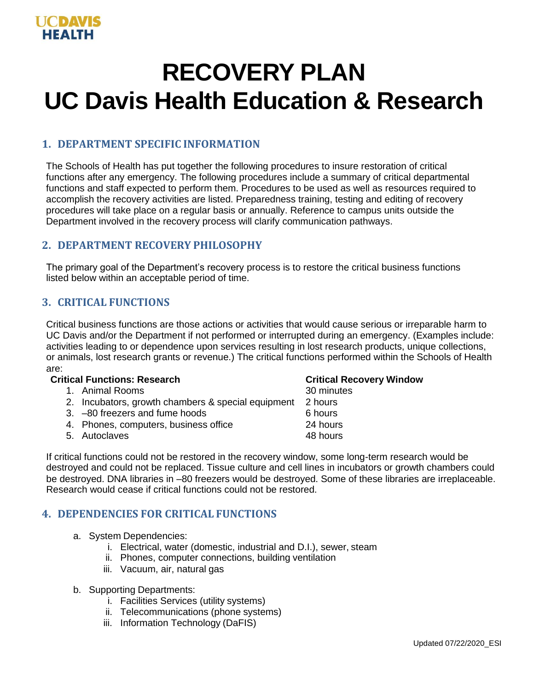# **RECOVERY PLAN UC Davis Health Education & Research**

# **1. DEPARTMENT SPECIFIC INFORMATION**

The Schools of Health has put together the following procedures to insure restoration of critical functions after any emergency. The following procedures include a summary of critical departmental functions and staff expected to perform them. Procedures to be used as well as resources required to accomplish the recovery activities are listed. Preparedness training, testing and editing of recovery procedures will take place on a regular basis or annually. Reference to campus units outside the Department involved in the recovery process will clarify communication pathways.

# **2. DEPARTMENT RECOVERY PHILOSOPHY**

The primary goal of the Department's recovery process is to restore the critical business functions listed below within an acceptable period of time.

# **3. CRITICAL FUNCTIONS**

Critical business functions are those actions or activities that would cause serious or irreparable harm to UC Davis and/or the Department if not performed or interrupted during an emergency. (Examples include: activities leading to or dependence upon services resulting in lost research products, unique collections, or animals, lost research grants or revenue.) The critical functions performed within the Schools of Health are:

#### **Critical Functions: Research Critical Recovery Window**

- 1. Animal Rooms 30 minutes
- 2. Incubators, growth chambers & special equipment 2 hours
- 3. –80 freezers and fume hoods 6 hours
- 4. Phones, computers, business office 24 hours
- 5. Autoclaves 48 hours

If critical functions could not be restored in the recovery window, some long-term research would be destroyed and could not be replaced. Tissue culture and cell lines in incubators or growth chambers could be destroyed. DNA libraries in –80 freezers would be destroyed. Some of these libraries are irreplaceable. Research would cease if critical functions could not be restored.

# **4. DEPENDENCIES FOR CRITICAL FUNCTIONS**

- a. System Dependencies:
	- i. Electrical, water (domestic, industrial and D.I.), sewer, steam
	- ii. Phones, computer connections, building ventilation
	- iii. Vacuum, air, natural gas
- b. Supporting Departments:
	- i. Facilities Services (utility systems)
	- ii. Telecommunications (phone systems)
	- iii. Information Technology (DaFIS)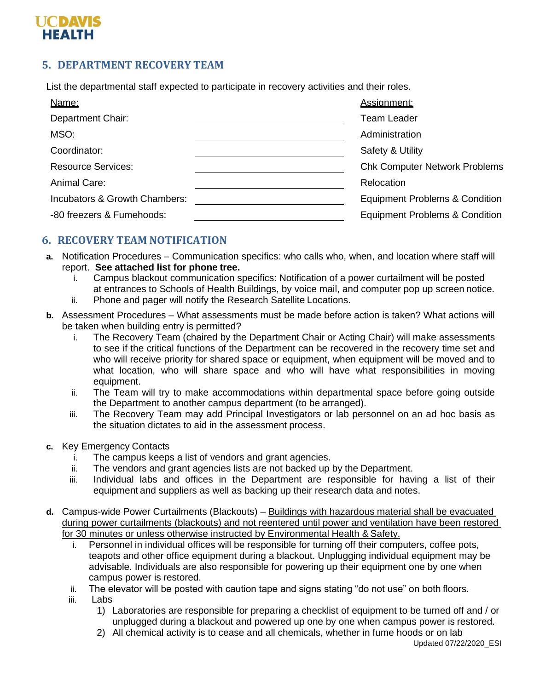# **UCDAVIS HEALTH**

# **5. DEPARTMENT RECOVERY TEAM**

List the departmental staff expected to participate in recovery activities and their roles.

| Name:                         | Assignment:                               |
|-------------------------------|-------------------------------------------|
| Department Chair:             | <b>Team Leader</b>                        |
| MSO:                          | Administration                            |
| Coordinator:                  | Safety & Utility                          |
| <b>Resource Services:</b>     | <b>Chk Computer Network Problems</b>      |
| Animal Care:                  | Relocation                                |
| Incubators & Growth Chambers: | <b>Equipment Problems &amp; Condition</b> |
| -80 freezers & Fumehoods:     | <b>Equipment Problems &amp; Condition</b> |
|                               |                                           |

# **6. RECOVERY TEAM NOTIFICATION**

- **a.** Notification Procedures Communication specifics: who calls who, when, and location where staff will report. **See attached list for phone tree.**
	- i. Campus blackout communication specifics: Notification of a power curtailment will be posted at entrances to Schools of Health Buildings, by voice mail, and computer pop up screen notice.
	- ii. Phone and pager will notify the Research Satellite Locations.
- **b.** Assessment Procedures What assessments must be made before action is taken? What actions will be taken when building entry is permitted?
	- i. The Recovery Team (chaired by the Department Chair or Acting Chair) will make assessments to see if the critical functions of the Department can be recovered in the recovery time set and who will receive priority for shared space or equipment, when equipment will be moved and to what location, who will share space and who will have what responsibilities in moving equipment.
	- ii. The Team will try to make accommodations within departmental space before going outside the Department to another campus department (to be arranged).
	- iii. The Recovery Team may add Principal Investigators or lab personnel on an ad hoc basis as the situation dictates to aid in the assessment process.
- **c.** Key Emergency Contacts
	- i. The campus keeps a list of vendors and grant agencies.
	- ii. The vendors and grant agencies lists are not backed up by the Department.
	- iii. Individual labs and offices in the Department are responsible for having a list of their equipment and suppliers as well as backing up their research data and notes.
- **d.** Campus-wide Power Curtailments (Blackouts) Buildings with hazardous material shall be evacuated during power curtailments (blackouts) and not reentered until power and ventilation have been restored for 30 minutes or unless otherwise instructed by Environmental Health & Safety.
	- i. Personnel in individual offices will be responsible for turning off their computers, coffee pots, teapots and other office equipment during a blackout. Unplugging individual equipment may be advisable. Individuals are also responsible for powering up their equipment one by one when campus power is restored.
	- ii. The elevator will be posted with caution tape and signs stating "do not use" on both floors.
	- iii. Labs
		- 1) Laboratories are responsible for preparing a checklist of equipment to be turned off and / or unplugged during a blackout and powered up one by one when campus power is restored.
		- 2) All chemical activity is to cease and all chemicals, whether in fume hoods or on lab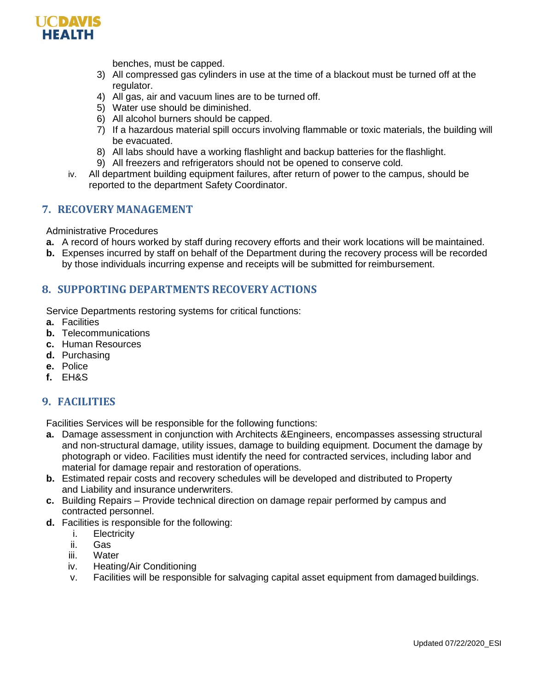

benches, must be capped.

- 3) All compressed gas cylinders in use at the time of a blackout must be turned off at the regulator.
- 4) All gas, air and vacuum lines are to be turned off.
- 5) Water use should be diminished.
- 6) All alcohol burners should be capped.
- 7) If a hazardous material spill occurs involving flammable or toxic materials, the building will be evacuated.
- 8) All labs should have a working flashlight and backup batteries for the flashlight.
- 9) All freezers and refrigerators should not be opened to conserve cold.
- iv. All department building equipment failures, after return of power to the campus, should be reported to the department Safety Coordinator.

#### **7. RECOVERY MANAGEMENT**

Administrative Procedures

- **a.** A record of hours worked by staff during recovery efforts and their work locations will be maintained.
- **b.** Expenses incurred by staff on behalf of the Department during the recovery process will be recorded by those individuals incurring expense and receipts will be submitted for reimbursement.

#### **8. SUPPORTING DEPARTMENTS RECOVERY ACTIONS**

Service Departments restoring systems for critical functions:

- **a.** Facilities
- **b.** Telecommunications
- **c.** Human Resources
- **d.** Purchasing
- **e.** Police
- **f.** EH&S

# **9. FACILITIES**

Facilities Services will be responsible for the following functions:

- **a.** Damage assessment in conjunction with Architects &Engineers, encompasses assessing structural and non-structural damage, utility issues, damage to building equipment. Document the damage by photograph or video. Facilities must identify the need for contracted services, including labor and material for damage repair and restoration of operations.
- **b.** Estimated repair costs and recovery schedules will be developed and distributed to Property and Liability and insurance underwriters.
- **c.** Building Repairs Provide technical direction on damage repair performed by campus and contracted personnel.
- **d.** Facilities is responsible for the following:
	- i. Electricity
	- ii. Gas
	- iii. Water
	- iv. Heating/Air Conditioning
	- v. Facilities will be responsible for salvaging capital asset equipment from damaged buildings.